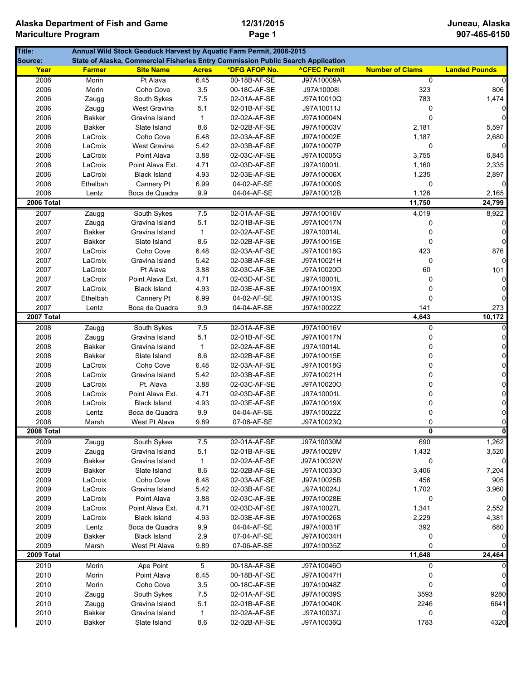| Title:     |               |                     |              | Annual Wild Stock Geoduck Harvest by Aquatic Farm Permit, 2006-2015              |                     |                        |                      |
|------------|---------------|---------------------|--------------|----------------------------------------------------------------------------------|---------------------|------------------------|----------------------|
| Source:    |               |                     |              | State of Alaska, Commercial Fisheries Entry Commission Public Search Application |                     |                        |                      |
| Year       | <b>Farmer</b> | <b>Site Name</b>    | <b>Acres</b> | *DFG AFOP No.                                                                    | <b>ACFEC Permit</b> | <b>Number of Clams</b> | <b>Landed Pounds</b> |
| 2006       | Morin         | Pt Alava            | 6.45         | 00-18B-AF-SE                                                                     | J97A10009A          | $\overline{0}$         | $\Omega$             |
| 2006       | Morin         | Coho Cove           | 3.5          | 00-18C-AF-SE                                                                     | J97A10008I          | 323                    | 806                  |
| 2006       | Zaugg         | South Sykes         | 7.5          | 02-01A-AF-SE                                                                     | J97A10010Q          | 783                    | 1,474                |
| 2006       | Zaugg         | West Gravina        | 5.1          | 02-01B-AF-SE                                                                     | J97A10011J          | 0                      | $\overline{0}$       |
| 2006       | Bakker        | Gravina Island      | $\mathbf{1}$ | 02-02A-AF-SE                                                                     | J97A10004N          | 0                      | $\mathbf 0$          |
| 2006       | <b>Bakker</b> | Slate Island        | 8.6          | 02-02B-AF-SE                                                                     | J97A10003V          | 2,181                  | 5,597                |
| 2006       | LaCroix       | Coho Cove           | 6.48         | 02-03A-AF-SE                                                                     | J97A10002E          | 1,187                  | 2,680                |
| 2006       | LaCroix       | West Gravina        | 5.42         | 02-03B-AF-SE                                                                     | J97A10007P          | 0                      | $\overline{0}$       |
| 2006       | LaCroix       | Point Alava         | 3.88         | 02-03C-AF-SE                                                                     | J97A10005G          | 3,755                  | 6,845                |
| 2006       | LaCroix       | Point Alava Ext.    | 4.71         | 02-03D-AF-SE                                                                     | J97A10001L          | 1,160                  | 2,335                |
| 2006       | LaCroix       | <b>Black Island</b> | 4.93         | 02-03E-AF-SE                                                                     | J97A10006X          | 1,235                  | 2,897                |
| 2006       | Ethelbah      | Cannery Pt          | 6.99         | 04-02-AF-SE                                                                      | J97A10000S          | 0                      | $\overline{0}$       |
| 2006       | Lentz         | Boca de Quadra      | 9.9          | 04-04-AF-SE                                                                      | J97A10012B          | 1,126                  | 2,165                |
| 2006 Total |               |                     |              |                                                                                  |                     | 11,750                 | 24,799               |
| 2007       | Zaugg         | South Sykes         | 7.5          | 02-01A-AF-SE                                                                     | J97A10016V          | 4,019                  | 8,922                |
| 2007       | Zaugg         | Gravina Island      | 5.1          | 02-01B-AF-SE                                                                     | J97A10017N          | 0                      | $\overline{0}$       |
| 2007       | Bakker        | Gravina Island      | $\mathbf{1}$ | 02-02A-AF-SE                                                                     | J97A10014L          | 0                      | 0                    |
| 2007       | Bakker        | Slate Island        | 8.6          | 02-02B-AF-SE                                                                     | J97A10015E          | 0                      | $\mathbf 0$          |
| 2007       | LaCroix       | Coho Cove           | 6.48         | 02-03A-AF-SE                                                                     | J97A10018G          | 423                    | 876                  |
| 2007       | LaCroix       | Gravina Island      | 5.42         | 02-03B-AF-SE                                                                     | J97A10021H          | 0                      | $\mathbf 0$          |
| 2007       | LaCroix       | Pt Alava            | 3.88         | 02-03C-AF-SE                                                                     | J97A10020O          | 60                     | 101                  |
| 2007       | LaCroix       | Point Alava Ext.    | 4.71         | 02-03D-AF-SE                                                                     | J97A10001L          | 0                      | $\overline{0}$       |
| 2007       | LaCroix       | <b>Black Island</b> | 4.93         | 02-03E-AF-SE                                                                     | J97A10019X          | 0                      | 0                    |
| 2007       | Ethelbah      | Cannery Pt          | 6.99         | 04-02-AF-SE                                                                      | J97A10013S          | 0                      | $\overline{0}$       |
| 2007       | Lentz         | Boca de Quadra      | 9.9          | 04-04-AF-SE                                                                      | J97A10022Z          | 141                    | 273                  |
| 2007 Total |               |                     |              |                                                                                  |                     | 4,643                  | 10,172               |
| 2008       | Zaugg         | South Sykes         | 7.5          | 02-01A-AF-SE                                                                     | J97A10016V          | 0                      | 0                    |
| 2008       | Zaugg         | Gravina Island      | 5.1          | 02-01B-AF-SE                                                                     | J97A10017N          | 0                      | $\overline{0}$       |
| 2008       | Bakker        | Gravina Island      | $\mathbf{1}$ | 02-02A-AF-SE                                                                     | J97A10014L          | $\Omega$               | $\mathbf 0$          |
| 2008       | <b>Bakker</b> | Slate Island        | 8.6          | 02-02B-AF-SE                                                                     | J97A10015E          | 0                      | $\mathsf{O}\xspace$  |
| 2008       | LaCroix       | Coho Cove           | 6.48         | 02-03A-AF-SE                                                                     | J97A10018G          | 0                      | $\overline{0}$       |
| 2008       | LaCroix       | Gravina Island      | 5.42         | 02-03B-AF-SE                                                                     | J97A10021H          | 0                      | $\overline{0}$       |
| 2008       | LaCroix       | Pt. Alava           | 3.88         | 02-03C-AF-SE                                                                     | J97A10020O          | $\Omega$               | $\overline{0}$       |
| 2008       | LaCroix       | Point Alava Ext.    | 4.71         | 02-03D-AF-SE                                                                     | J97A10001L          | $\Omega$               | $\overline{0}$       |
| 2008       | LaCroix       | <b>Black Island</b> | 4.93         | 02-03E-AF-SE                                                                     | J97A10019X          | 0                      | $\mathsf{O}\xspace$  |
| 2008       | Lentz         | Boca de Quadra      | $9.9\,$      | 04-04-AF-SE                                                                      | J97A10022Z          | 0                      | $\mathsf{O}\xspace$  |
| 2008       | Marsh         | West Pt Alava       | 9.89         | 07-06-AF-SE                                                                      | J97A10023Q          | 0                      | $\overline{0}$       |
| 2008 Total |               |                     |              |                                                                                  |                     |                        | $\mathbf{a}$         |
| 2009       | Zaugg         | South Sykes         | 7.5          | 02-01A-AF-SE                                                                     | J97A10030M          | 690                    | 1,262                |
| 2009       | Zaugg         | Gravina Island      | 5.1          | 02-01B-AF-SE                                                                     | J97A10029V          | 1,432                  | 3,520                |
| 2009       | Bakker        | Gravina Island      | $\mathbf{1}$ | 02-02A-AF-SE                                                                     | J97A10032W          | 0                      | $\mathbf 0$          |
| 2009       | Bakker        | Slate Island        | 8.6          | 02-02B-AF-SE                                                                     | J97A10033O          | 3,406                  | 7,204                |
| 2009       | LaCroix       | Coho Cove           | 6.48         | 02-03A-AF-SE                                                                     | J97A10025B          | 456                    | 905                  |
| 2009       | LaCroix       | Gravina Island      | 5.42         | 02-03B-AF-SE                                                                     | J97A10024J          | 1,702                  | 3,960                |
| 2009       | LaCroix       | Point Alava         | 3.88         | 02-03C-AF-SE                                                                     | J97A10028E          | 0                      | $\overline{0}$       |
| 2009       | LaCroix       | Point Alava Ext.    | 4.71         | 02-03D-AF-SE                                                                     | J97A10027L          | 1,341                  | 2,552                |
| 2009       | LaCroix       | <b>Black Island</b> | 4.93         | 02-03E-AF-SE                                                                     | J97A10026S          | 2,229                  | 4,381                |
| 2009       | Lentz         | Boca de Quadra      | 9.9          | 04-04-AF-SE                                                                      | J97A10031F          | 392                    | 680                  |
| 2009       | <b>Bakker</b> | <b>Black Island</b> | 2.9          | 07-04-AF-SE                                                                      | J97A10034H          | 0                      | 0                    |
| 2009       | Marsh         | West Pt Alava       | 9.89         | 07-06-AF-SE                                                                      | J97A10035Z          | 0                      | $\Omega$             |
| 2009 Total |               |                     |              |                                                                                  |                     | 11,648                 | 24,464               |
| 2010       | Morin         | Ape Point           | 5            | 00-18A-AF-SE                                                                     | J97A10046O          | 0                      | $\mathbf 0$          |
| 2010       | Morin         | Point Alava         | 6.45         | 00-18B-AF-SE                                                                     | J97A10047H          | 0                      | $\mathbf 0$          |
| 2010       | Morin         | Coho Cove           | 3.5          | 00-18C-AF-SE                                                                     | J97A10048Z          | 0                      | $\overline{0}$       |
| 2010       | Zaugg         | South Sykes         | $7.5$        | 02-01A-AF-SE                                                                     | J97A10039S          | 3593                   | 9280                 |
| 2010       | Zaugg         | Gravina Island      | 5.1          | 02-01B-AF-SE                                                                     | J97A10040K          | 2246                   | 6641                 |
| 2010       | Bakker        | Gravina Island      | $\mathbf{1}$ | 02-02A-AF-SE                                                                     | J97A10037J          | 0                      | $\mathbf 0$          |
| 2010       | Bakker        | Slate Island        | 8.6          | 02-02B-AF-SE                                                                     | J97A10036Q          | 1783                   | 4320                 |
|            |               |                     |              |                                                                                  |                     |                        |                      |